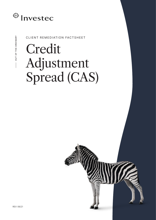

### CLIENT REMEDIATION FACTSHEET

# Credit Adjustment Spread (CAS)